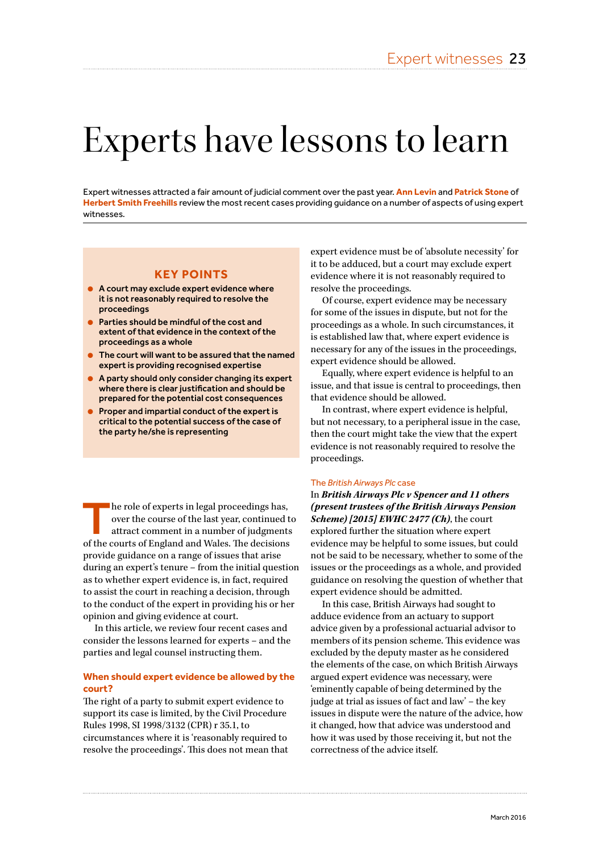# Experts have lessons to learn

Expert witnesses attracted a fair amount of judicial comment over the past year. **Ann Levin** and **Patrick Stone** of **Herbert Smith Freehills** review the most recent cases providing guidance on a number of aspects of using expert witnesses.

# **KEY POINTS**

- A court may exclude expert evidence where it is not reasonably required to resolve the proceedings
- **Parties should be mindful of the cost and** extent of that evidence in the context of the proceedings as a whole
- The court will want to be assured that the named expert is providing recognised expertise
- **A party should only consider changing its expert** where there is clear justification and should be prepared for the potential cost consequences
- **Proper and impartial conduct of the expert is** critical to the potential success of the case of the party he/she is representing

he role of experts in legal proceedings has,<br>over the course of the last year, continued to<br>attract comment in a number of judgment.<br>of the courts of England and Welse, The decisions over the course of the last year, continued to attract comment in a number of judgments of the courts of England and Wales. The decisions provide guidance on a range of issues that arise during an expert's tenure – from the initial question as to whether expert evidence is, in fact, required to assist the court in reaching a decision, through to the conduct of the expert in providing his or her opinion and giving evidence at court.

In this article, we review four recent cases and consider the lessons learned for experts – and the parties and legal counsel instructing them.

## **When should expert evidence be allowed by the court?**

The right of a party to submit expert evidence to support its case is limited, by the Civil Procedure Rules 1998, SI 1998/3132 (CPR) r 35.1, to circumstances where it is 'reasonably required to resolve the proceedings'. This does not mean that

expert evidence must be of 'absolute necessity' for it to be adduced, but a court may exclude expert evidence where it is not reasonably required to resolve the proceedings.

Of course, expert evidence may be necessary for some of the issues in dispute, but not for the proceedings as a whole. In such circumstances, it is established law that, where expert evidence is necessary for any of the issues in the proceedings, expert evidence should be allowed.

Equally, where expert evidence is helpful to an issue, and that issue is central to proceedings, then that evidence should be allowed.

In contrast, where expert evidence is helpful, but not necessary, to a peripheral issue in the case, then the court might take the view that the expert evidence is not reasonably required to resolve the proceedings.

#### The *British Airways Plc* case

In *British Airways Plc v Spencer and 11 others (present trustees of the British Airways Pension Scheme) [2015] EWHC 2477 (Ch)*, the court explored further the situation where expert evidence may be helpful to some issues, but could not be said to be necessary, whether to some of the issues or the proceedings as a whole, and provided guidance on resolving the question of whether that expert evidence should be admitted.

In this case, British Airways had sought to adduce evidence from an actuary to support advice given by a professional actuarial advisor to members of its pension scheme. This evidence was excluded by the deputy master as he considered the elements of the case, on which British Airways argued expert evidence was necessary, were 'eminently capable of being determined by the judge at trial as issues of fact and law' – the key issues in dispute were the nature of the advice, how it changed, how that advice was understood and how it was used by those receiving it, but not the correctness of the advice itself.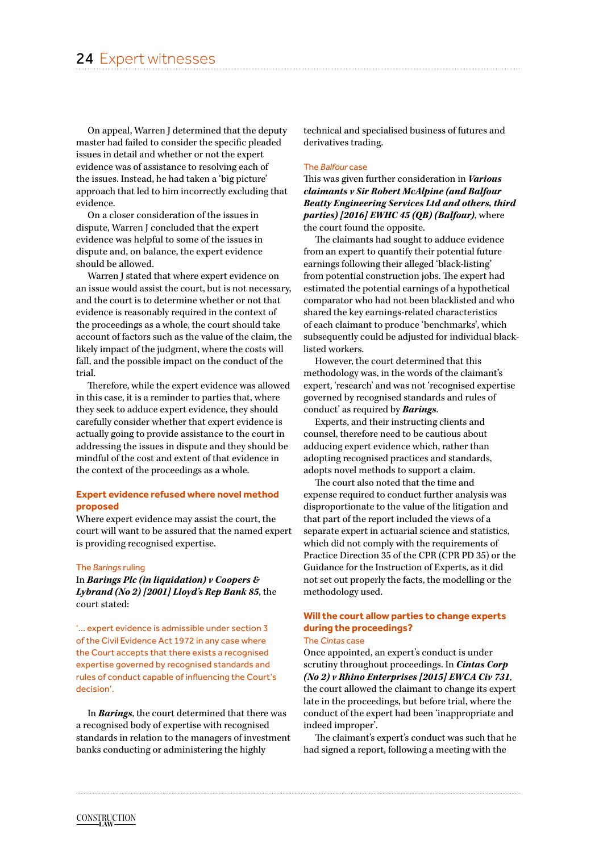On appeal, Warren J determined that the deputy master had failed to consider the specific pleaded issues in detail and whether or not the expert evidence was of assistance to resolving each of the issues. Instead, he had taken a 'big picture' approach that led to him incorrectly excluding that evidence.

On a closer consideration of the issues in dispute, Warren J concluded that the expert evidence was helpful to some of the issues in dispute and, on balance, the expert evidence should be allowed.

Warren J stated that where expert evidence on an issue would assist the court, but is not necessary, and the court is to determine whether or not that evidence is reasonably required in the context of the proceedings as a whole, the court should take account of factors such as the value of the claim, the likely impact of the judgment, where the costs will fall, and the possible impact on the conduct of the trial.

Therefore, while the expert evidence was allowed in this case, it is a reminder to parties that, where they seek to adduce expert evidence, they should carefully consider whether that expert evidence is actually going to provide assistance to the court in addressing the issues in dispute and they should be mindful of the cost and extent of that evidence in the context of the proceedings as a whole.

# **Expert evidence refused where novel method proposed**

Where expert evidence may assist the court, the court will want to be assured that the named expert is providing recognised expertise.

#### The *Barings* ruling

In *Barings Plc (in liquidation) v Coopers & Lybrand (No 2) [2001] Lloyd's Rep Bank 85*, the court stated:

'… expert evidence is admissible under section 3 of the Civil Evidence Act 1972 in any case where the Court accepts that there exists a recognised expertise governed by recognised standards and rules of conduct capable of influencing the Court's decision'.

In *Barings*, the court determined that there was a recognised body of expertise with recognised standards in relation to the managers of investment banks conducting or administering the highly

technical and specialised business of futures and derivatives trading.

#### The *Balfour* case

This was given further consideration in *Various claimants v Sir Robert McAlpine (and Balfour Beatty Engineering Services Ltd and others, third parties) [2016] EWHC 45 (QB) (Balfour)*, where the court found the opposite.

The claimants had sought to adduce evidence from an expert to quantify their potential future earnings following their alleged 'black-listing' from potential construction jobs. The expert had estimated the potential earnings of a hypothetical comparator who had not been blacklisted and who shared the key earnings-related characteristics of each claimant to produce 'benchmarks', which subsequently could be adjusted for individual blacklisted workers.

However, the court determined that this methodology was, in the words of the claimant's expert, 'research' and was not 'recognised expertise governed by recognised standards and rules of conduct' as required by *Barings*.

Experts, and their instructing clients and counsel, therefore need to be cautious about adducing expert evidence which, rather than adopting recognised practices and standards, adopts novel methods to support a claim.

The court also noted that the time and expense required to conduct further analysis was disproportionate to the value of the litigation and that part of the report included the views of a separate expert in actuarial science and statistics, which did not comply with the requirements of Practice Direction 35 of the CPR (CPR PD 35) or the Guidance for the Instruction of Experts, as it did not set out properly the facts, the modelling or the methodology used.

### **Will the court allow parties to change experts during the proceedings?**  The *Cintas* case

Once appointed, an expert's conduct is under scrutiny throughout proceedings. In *Cintas Corp (No 2) v Rhino Enterprises [2015] EWCA Civ 731*, the court allowed the claimant to change its expert late in the proceedings, but before trial, where the conduct of the expert had been 'inappropriate and indeed improper'.

The claimant's expert's conduct was such that he had signed a report, following a meeting with the